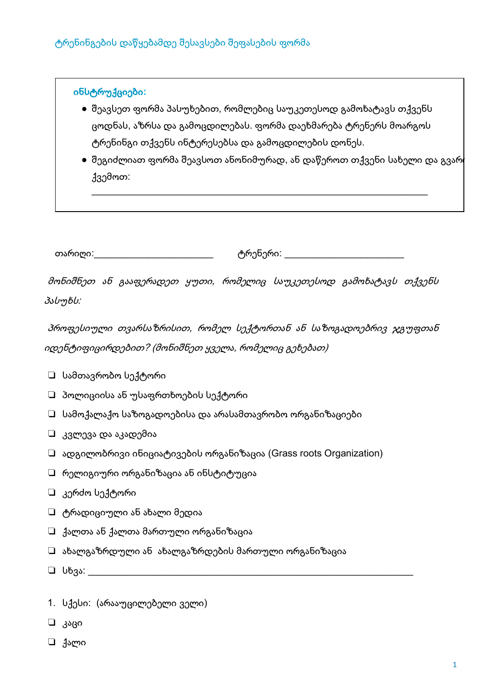### ინსტრუქციები:

- შეავსეთ ფორმა პასუხებით, რომლებიც საუკეთესოდ გამოხატავს თქვენს ცოდნას, აზრსა და გამოცდილებას. ფორმა დაეხმარება ტრენერს მოარგოს ტრენინგი თქვენს ინტერესებსა და გამოცდილების დონეს.
- $\bullet$  შეგიძლიათ ფორმა შეავსოთ ანონიმურად, ან დაწეროთ თქვენი სახელი და გვარ(  $330000$

თარიღი:

მონიშნეთ ან გააფერადეთ ყუთი, რომელიც საუკეთესოდ გამოხატავს თქვენს პასუხს:

პროფესიული თვარსაზრისით, რომელ სექტორთან ან საზოგადოებრივ ჯგუფთან იდენტიფიცირდებით? (მონიშნეთ ყველა, რომელიც გეხებათ)

- $\Box$  სამთავრობო სექტორი
- $\Box$  პოლიციისა ან უსაფრთხოების სექტორი
- $\Box$  სამოქალაქო საზოგადოებისა და არასამთავრობო ორგანიზაციები
- $\Box$  კვლევა და აკადემია
- $\Box$  ადგილობრივი ინიციატივების ორგანიზაცია (Grass roots Organization)
- $\Box$  რელიგიური ორგანიზაცია ან ინსტიტუცია
- $\Box$  კერძო სექტორი
- $\Box$  ტრადიციული ან ახალი მედია
- $\Box$  ქალთა ან ქალთა მართული ორგანიზაცია
- $\Box$  ახალგაზრდული ან ახალგაზრდების მართული ორგანიზაცია
- $\Box$  სხვა: სამართა
- 1. სქესი: (არააუცილებელი ველი)
- ⊔ კაცი
- ⊔ ქალი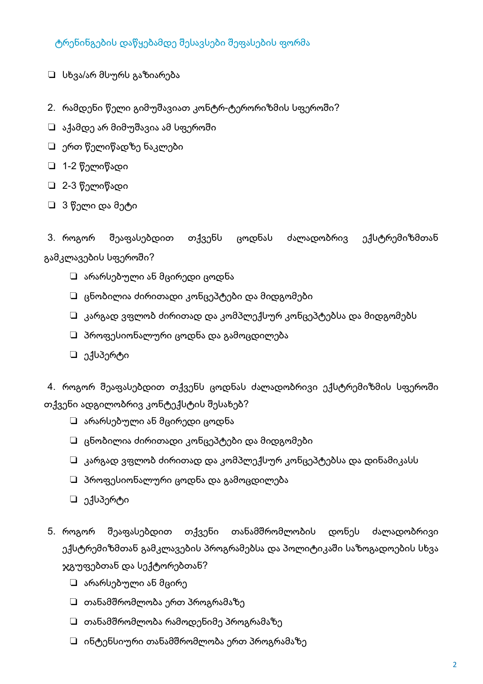- □ სხვა/არ მსურს გაზიარება
- 2. რამდენი წელი გიმუშავიათ კონტრ-ტერორიზმის სფეროში?
- □ აქამდე არ მიმუშავია ამ სფეროში
- $\Box$  ერთ წელიწადზე ნაკლები
- □ 1-2 წელიწადი
- □ 2-3 წელიწადი
- □ 3 წელი და მეტი

3. როგორ შეაფასებდით თქვენს ცოდნას ძალადობრივ ექსტრემიზმთან გამკლავების სფეროში?

- $\square$  არარსებული ან მცირედი ცოდნა
- $\Box$  ცნობილია ძირითადი კონცეპტები და მიდგომები
- $\square$  კარგად ვფლობ ძირითად და კომპლექსურ კონცეპტებსა და მიდგომებს
- $\square$  პროფესიონალური ცოდნა და გამოცდილება
- □ ექსპერტი

4. როგორ შეაფასებდით თქვენს ცოდნას ძალადობრივი ექსტრემიზმის სფეროში თქვენი ადგილობრივ კონტექსტის შესახებ?

- $\Box$  არარსებული ან მცირედი ცოდნა
- $\Box$  ცნობილია ძირითადი კონცეპტები და მიდგომები
- $\square$  კარგად ვფლობ ძირითად და კომპლექსურ კონცეპტებსა და დინამიკასს
- $\Box$  პროფესიონალური ცოდნა და გამოცდილება
- □ ექსპერტი
- შეაფასებდით თქვენი თანამშრომლობის 5. როგორ დონეს ძალადობრივი ექსტრემიზმთან გამკლავების პროგრამებსა და პოლიტიკაში საზოგადოების სხვა ჯგუფებთან და სექტორებთან?
	- $\Box$  არარსებული ან მცირე
	- $\square$  თანამშრომლობა ერთ პროგრამაზე
	- $\square$  თანამშრომლობა რამოდენიმე პროგრამაზე
	- $\Box$  ინტენსიური თანამშრომლობა ერთ პროგრამაზე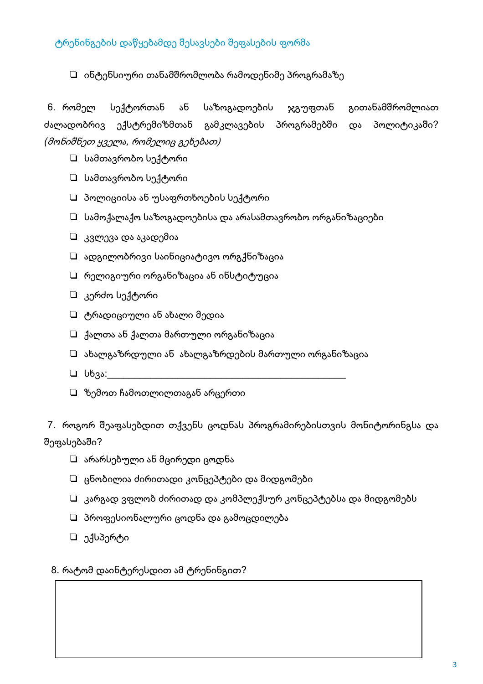### $\Box$  ინტენსიური თანამშრომლობა რამოდენიმე პროგრამაზე

6. რომელ სექტორთან ან საზოგადოების გითანამშრომლიათ ჯგუფთან ძალადობრივ ექსტრემიზმთან გამკლავების პროგრამებში პოლიტიკაში? და (მონიშნეთ ყველა, რომელიც გეხებათ)

- □ სამთავრობო სექტორი
- $\Box$  სამთავრობო სექტორი
- $\Box$  პოლიციისა ან უსაფრთხოების სექტორი
- $\Box$  სამოქალაქო საზოგადოებისა და არასამთავრობო ორგანიზაციები
- $\Box$  კვლევა და აკადემია
- $\square$  ადგილობრივი საინიციატივო ორგქნიზაცია
- $\Box$  რელიგიური ორგანიზაცია ან ინსტიტუცია
- □ კერძო სექტორი
- $\Box$  ტრადიციული ან ახალი მედია
- $\Box$  ქალთა ან ქალთა მართული ორგანიზაცია
- $\square$  ახალგაზრდული ან ახალგაზრდების მართული ორგანიზაცია
- $□$  სხვა:
- $\Box$  ზემოთ ჩამოთლილთაგან არცერთი

7. როგორ შეაფასებდით თქვენს ცოდნას პროგრამირებისთვის მონიტორინგსა და შეფასებაში?

- □ არარსებული ან მცირედი ცოდნა
- $\Box$  ცნობილია ძირითადი კონცეპტები და მიდგომები
- $\Box$  კარგად ვფლობ ძირითად და კომპლექსურ კონცეპტებსა და მიდგომებს
- $\square$  პროფესიონალური ცოდნა და გამოცდილება
- □ ექსპერტი

#### 8. რატომ დაინტერესდით ამ ტრენინგით?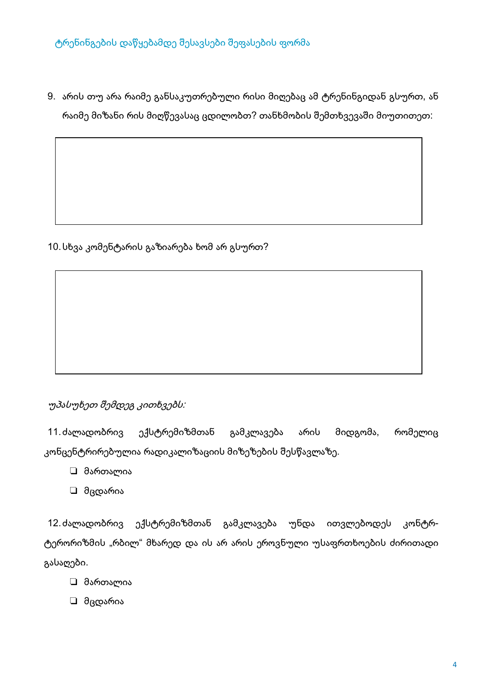9. არის თუ არა რაიმე განსაკუთრებული რისი მიღებაც ამ ტრენინგიდან გსურთ, ან რაიმე მიზანი რის მიღწევასაც ცდილობთ? თანხმობის შემთხვევაში მიუთითეთ:

10. სხვა კომენტარის გაზიარება ხომ არ გსურთ?

## უპასუხეთ შემდეგ კითხვებს:

ექსტრემიზმთან 11.ძალადობრივ მიდგომა, რომელიც გამკლავება არის კონცენტრირებულია რადიკალიზაციის მიზეზების შესწავლაზე.

- □ მართალია
- □ მცდარია

12. ძალადობრივ ექსტრემიზმთან გამკლავება უნდა ითვლებოდეს კონტრტერორიზმის "რბილ" მხარედ და ის არ არის ეროვნული უსაფრთხოების ძირითადი გასაღები.

- □ მართალია
- □ მცდარია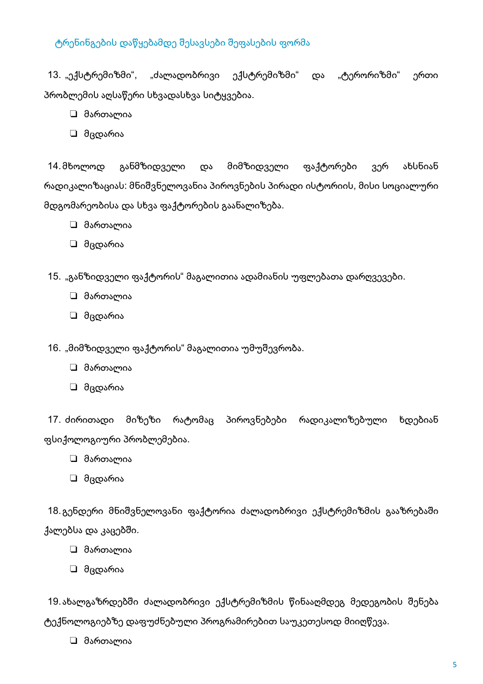13. "ექსტრემიზმი", "ძალადობრივი ექსტრემიზმი" და "ტერორიზმი" ერთი პრობლემის აღსაწერი სხვადასხვა სიტყვებია.

- □ მართალია
- □ მცდარია

განმზიდველი მიმზიდველი ახსნიან 14.მხოლოდ ფაქტორები და ვერ რადიკალიზაციას: მნიშვნელოვანია პიროვნების პირადი ისტორიის, მისი სოციალური მდგომარეობისა და სხვა ფაქტორების გაანალიზება.

- □ მართალია
- □ მცდარია
- 15. "განზიდველი ფაქტორის" მაგალითია ადამიანის უფლებათა დარღვევები.
	- □ მართალია
	- □ მცდარია
- 16. "მიმზიდველი ფაქტორის" მაგალითია უმუშევრობა.
	- □ მართალია
	- □ მცდარია

17. ძირითადი მიზეზი რატომაც პიროვნებები რადიკალიზებული ხდებიან ფსიქოლოგიური პრობლემებია.

- □ მართალია
- ⊔ მცდარია

18.გენდერი მნიშვნელოვანი ფაქტორია ძალადობრივი ექსტრემიზმის გააზრებაში ქალებსა და კაცებში.

- □ მართალია
- □ მცდარია

19.ახალგაზრდებში ძალადობრივი ექსტრემიზმის წინააღმდეგ მედეგობის შენება ტექნოლოგიებზე დაფუძნებული პროგრამირებით საუკეთესოდ მიიღწევა.

□ მართალია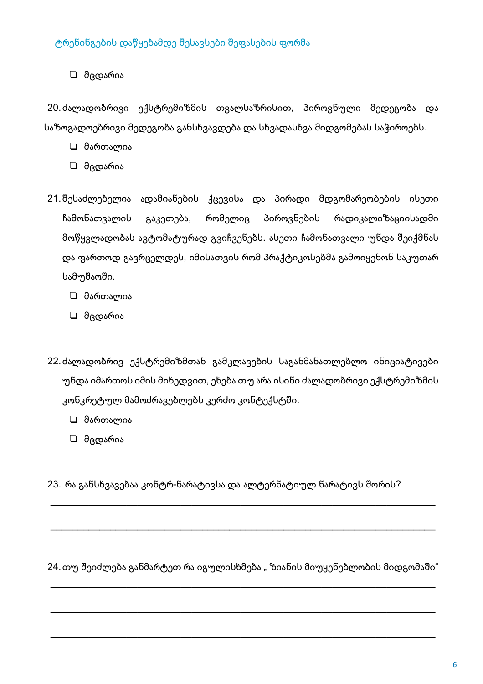□ მცდარია

20. ძალადობრივი ექსტრემიზმის თვალსაზრისით, პიროვნული მედეგობა და საზოგადოებრივი მედეგობა განსხვავდება და სხვადასხვა მიდგომებას საჭიროებს.

- □ მართალია
- □ მცდარია
- 21. შესაძლებელია ადამიანების ქცევისა და პირადი მდგომარეობების ისეთი გაკეთება, რომელიც პიროვნების რადიკალიზაციისადმი ჩამონათვალის მოწყვლადობას ავტომატურად გვიჩვენებს. ასეთი ჩამონათვალი უნდა შეიქმნას და ფართოდ გავრცელდეს, იმისათვის რომ პრაქტიკოსებმა გამოიყენონ საკუთარ სამუშაოში.
	- ⊔ მართალია
	- □ მცდარია
- 22. ძალადობრივ ექსტრემიზმთან გამკლავების საგანმანათლებლო ინიციატივები უნდა იმართოს იმის მიხედვით, ეხება თუ არა ისინი ძალადობრივი ექსტრემიზმის კონკრეტულ მამოძრავებლებს კერძო კონტექსტში.
	- □ მართალია
	- □ მცდარია
- 23. რა განსხვავებაა კონტრ-ნარატივსა და ალტერნატიულ ნარატივს შორის?

24.თუ შეიძლება განმარტეთ რა იგულისხმება "ზიანის მიუყენებლობის მიდგომაში"